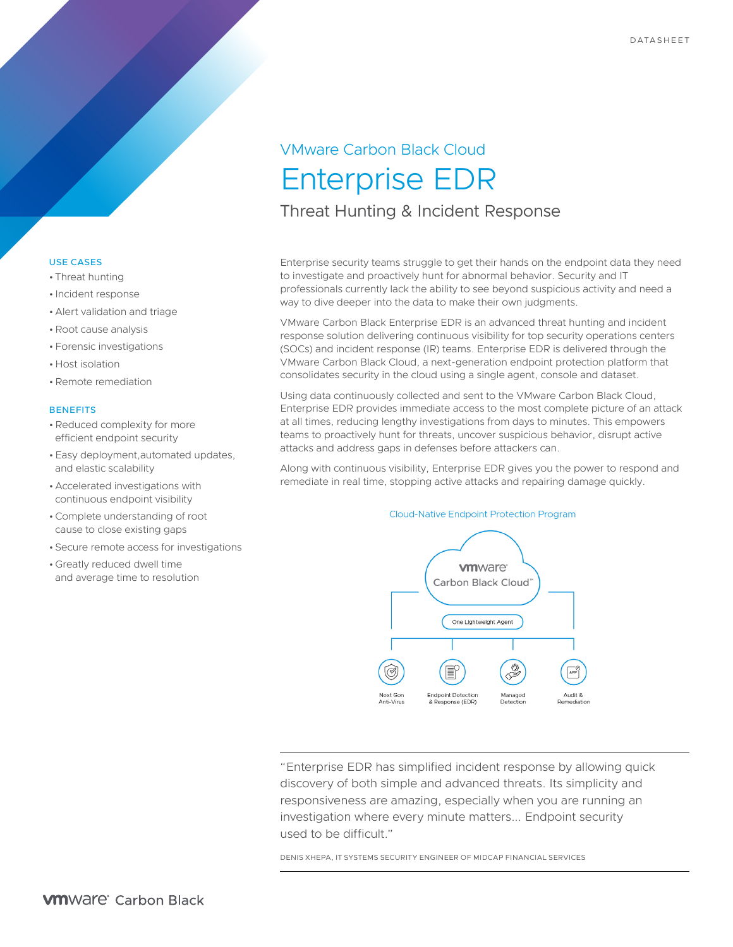# VMware Carbon Black Cloud Enterprise EDR Threat Hunting & Incident Response

# Enterprise security teams struggle to get their hands on the endpoint data they need

to investigate and proactively hunt for abnormal behavior. Security and IT professionals currently lack the ability to see beyond suspicious activity and need a way to dive deeper into the data to make their own judgments.

VMware Carbon Black Enterprise EDR is an advanced threat hunting and incident response solution delivering continuous visibility for top security operations centers (SOCs) and incident response (IR) teams. Enterprise EDR is delivered through the VMware Carbon Black Cloud, a next-generation endpoint protection platform that consolidates security in the cloud using a single agent, console and dataset.

Using data continuously collected and sent to the VMware Carbon Black Cloud, Enterprise EDR provides immediate access to the most complete picture of an attack at all times, reducing lengthy investigations from days to minutes. This empowers teams to proactively hunt for threats, uncover suspicious behavior, disrupt active attacks and address gaps in defenses before attackers can.

Along with continuous visibility, Enterprise EDR gives you the power to respond and remediate in real time, stopping active attacks and repairing damage quickly.





"Enterprise EDR has simplified incident response by allowing quick discovery of both simple and advanced threats. Its simplicity and responsiveness are amazing, especially when you are running an investigation where every minute matters... Endpoint security used to be difficult."

DENIS XHEPA, IT SYSTEMS SECURITY ENGINEER OF MIDCAP FINANCIAL SERVICES

# USE CASES

- Threat hunting
- Incident response
- Alert validation and triage
- •Root cause analysis
- Forensic investigations
- Host isolation
- •Remote remediation

## **BENEFITS**

- •Reduced complexity for more efficient endpoint security
- Easy deployment,automated updates, and elastic scalability
- Accelerated investigations with continuous endpoint visibility
- •Complete understanding of root cause to close existing gaps
- Secure remote access for investigations
- Greatly reduced dwell time and average time to resolution